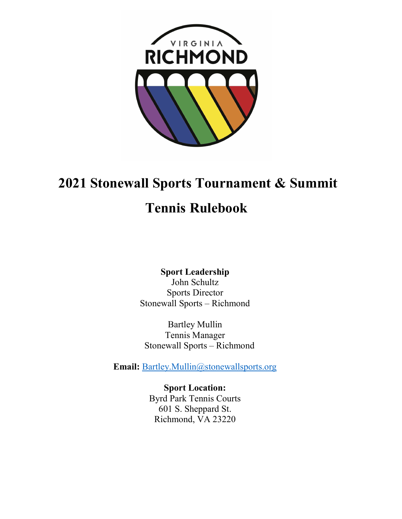

# 2021 Stonewall Sports Tournament & Summit

# Tennis Rulebook

Sport Leadership John Schultz Sports Director Stonewall Sports – Richmond

Bartley Mullin Tennis Manager Stonewall Sports – Richmond

Email: Bartley.Mullin@stonewallsports.org

Sport Location: Byrd Park Tennis Courts 601 S. Sheppard St. Richmond, VA 23220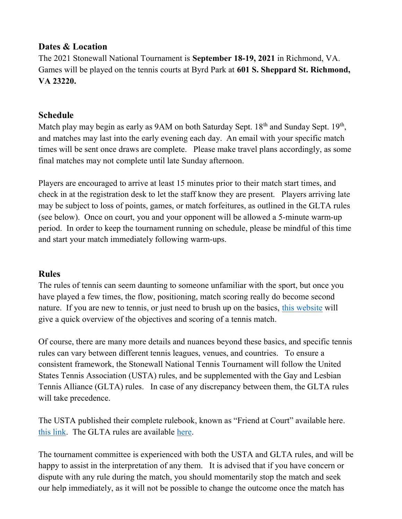## Dates & Location

The 2021 Stonewall National Tournament is September 18-19, 2021 in Richmond, VA. Games will be played on the tennis courts at Byrd Park at 601 S. Sheppard St. Richmond, VA 23220.

## Schedule

Match play may begin as early as 9AM on both Saturday Sept. 18<sup>th</sup> and Sunday Sept. 19<sup>th</sup>, and matches may last into the early evening each day. An email with your specific match times will be sent once draws are complete. Please make travel plans accordingly, as some final matches may not complete until late Sunday afternoon.

Players are encouraged to arrive at least 15 minutes prior to their match start times, and check in at the registration desk to let the staff know they are present. Players arriving late may be subject to loss of points, games, or match forfeitures, as outlined in the GLTA rules (see below). Once on court, you and your opponent will be allowed a 5-minute warm-up period. In order to keep the tournament running on schedule, please be mindful of this time and start your match immediately following warm-ups.

# Rules

The rules of tennis can seem daunting to someone unfamiliar with the sport, but once you have played a few times, the flow, positioning, match scoring really do become second nature. If you are new to tennis, or just need to brush up on the basics, this website will give a quick overview of the objectives and scoring of a tennis match.

Of course, there are many more details and nuances beyond these basics, and specific tennis rules can vary between different tennis leagues, venues, and countries. To ensure a consistent framework, the Stonewall National Tennis Tournament will follow the United States Tennis Association (USTA) rules, and be supplemented with the Gay and Lesbian Tennis Alliance (GLTA) rules. In case of any discrepancy between them, the GLTA rules will take precedence.

The USTA published their complete rulebook, known as "Friend at Court" available here. this link. The GLTA rules are available here.

The tournament committee is experienced with both the USTA and GLTA rules, and will be happy to assist in the interpretation of any them. It is advised that if you have concern or dispute with any rule during the match, you should momentarily stop the match and seek our help immediately, as it will not be possible to change the outcome once the match has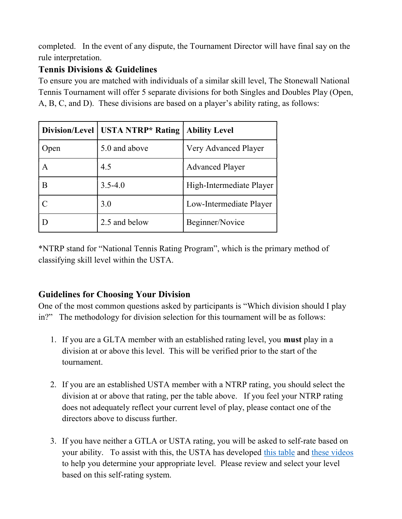completed. In the event of any dispute, the Tournament Director will have final say on the rule interpretation.

# Tennis Divisions & Guidelines

To ensure you are matched with individuals of a similar skill level, The Stonewall National Tennis Tournament will offer 5 separate divisions for both Singles and Doubles Play (Open, A, B, C, and D). These divisions are based on a player's ability rating, as follows:

|      | Division/Level   USTA NTRP* Rating | <b>Ability Level</b>     |
|------|------------------------------------|--------------------------|
| Open | 5.0 and above                      | Very Advanced Player     |
| A    | 4.5                                | <b>Advanced Player</b>   |
| В    | $3.5 - 4.0$                        | High-Intermediate Player |
|      | 3.0                                | Low-Intermediate Player  |
|      | 2.5 and below                      | Beginner/Novice          |

\*NTRP stand for "National Tennis Rating Program", which is the primary method of classifying skill level within the USTA.

# Guidelines for Choosing Your Division

One of the most common questions asked by participants is "Which division should I play in?" The methodology for division selection for this tournament will be as follows:

- 1. If you are a GLTA member with an established rating level, you must play in a division at or above this level. This will be verified prior to the start of the tournament.
- 2. If you are an established USTA member with a NTRP rating, you should select the division at or above that rating, per the table above. If you feel your NTRP rating does not adequately reflect your current level of play, please contact one of the directors above to discuss further.
- 3. If you have neither a GTLA or USTA rating, you will be asked to self-rate based on your ability. To assist with this, the USTA has developed this table and these videos to help you determine your appropriate level. Please review and select your level based on this self-rating system.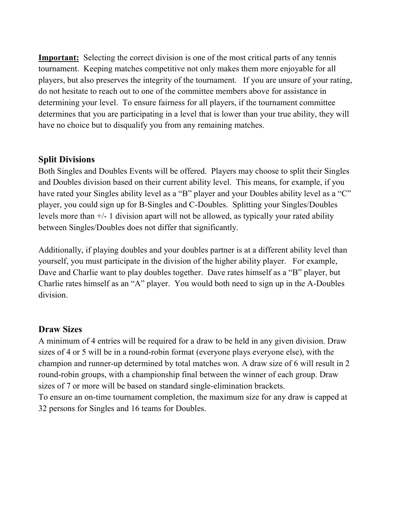Important: Selecting the correct division is one of the most critical parts of any tennis tournament. Keeping matches competitive not only makes them more enjoyable for all players, but also preserves the integrity of the tournament. If you are unsure of your rating, do not hesitate to reach out to one of the committee members above for assistance in determining your level. To ensure fairness for all players, if the tournament committee determines that you are participating in a level that is lower than your true ability, they will have no choice but to disqualify you from any remaining matches.

#### Split Divisions

Both Singles and Doubles Events will be offered. Players may choose to split their Singles and Doubles division based on their current ability level. This means, for example, if you have rated your Singles ability level as a "B" player and your Doubles ability level as a "C" player, you could sign up for B-Singles and C-Doubles. Splitting your Singles/Doubles levels more than +/- 1 division apart will not be allowed, as typically your rated ability between Singles/Doubles does not differ that significantly.

Additionally, if playing doubles and your doubles partner is at a different ability level than yourself, you must participate in the division of the higher ability player. For example, Dave and Charlie want to play doubles together. Dave rates himself as a "B" player, but Charlie rates himself as an "A" player. You would both need to sign up in the A-Doubles division.

#### Draw Sizes

A minimum of 4 entries will be required for a draw to be held in any given division. Draw sizes of 4 or 5 will be in a round-robin format (everyone plays everyone else), with the champion and runner-up determined by total matches won. A draw size of 6 will result in 2 round-robin groups, with a championship final between the winner of each group. Draw sizes of 7 or more will be based on standard single-elimination brackets. To ensure an on-time tournament completion, the maximum size for any draw is capped at

32 persons for Singles and 16 teams for Doubles.